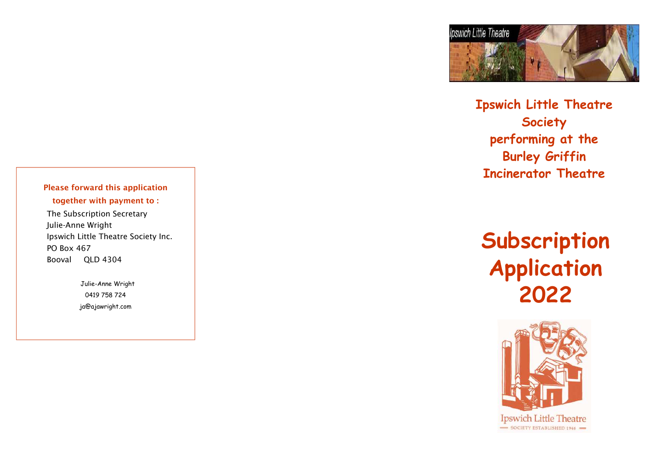

**Ipswich Little Theatre Society performing at the Burley Griffin Incinerator Theatre** 

# **Subscription Application 2022**



Please forward this application together with payment to :

 The Subscription Secretary Julie-Anne Wright Ipswich Little Theatre Society Inc. PO Box 467 Booval QLD 4304

> Julie-Anne Wright 0419 758 724 ja@ajawright.com